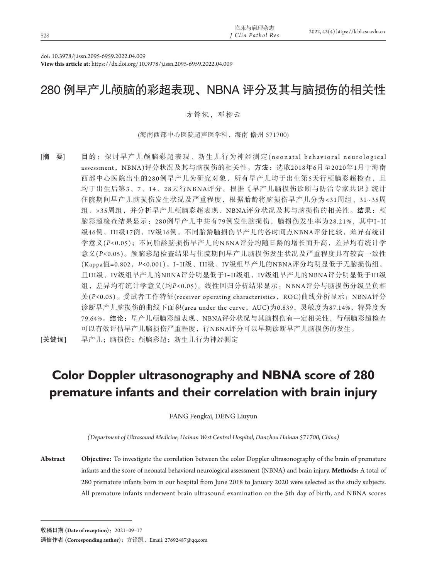|     | 临床与病理杂志                      | 2022, 42(4) https://lcbl.csu.edu.cn |
|-----|------------------------------|-------------------------------------|
| 828 | <sup>I</sup> Clin Pathol Res |                                     |
|     |                              |                                     |

doi: 10.3978/j.issn.2095-6959.2022.04.009

**View this article at:** https://dx.doi.org/10.3978/j.issn.2095-6959.2022.04.009

## 280 例早产儿颅脑的彩超表现、NBNA 评分及其与脑损伤的相关性

#### 方锋凯,邓柳云

(海南西部中心医院超声医学科,海南 儋州 571700)

[摘 要] 目的: 探讨早产儿颅脑彩超表现、新生儿行为神经测定(neonatal behavioral neurological assessment, NBNA)评分状况及其与脑损伤的相关性。方法: 选取2018年6月至2020年1月于海南 西部中心医院出生的280例早产儿为研究对象,所有早产儿均于出生第5天行颅脑彩超检查,且 均于出生后第3、7、14、28天行NBNA评分。根据《早产儿脑损伤诊断与防治专家共识》统计 住院期间早产儿脑损伤发生状况及严重程度,根据胎龄将脑损伤早产儿分为<31周组、31~35周 组、>35周组,并分析早产儿颅脑彩超表现、NBNA评分状况及其与脑损伤的相关性。结果: 颅 脑彩超检查结果显示:280例早产儿中共有79例发生脑损伤,脑损伤发生率为28.21%,其中I~II 级46例, III级17例, IV级16例。不同胎龄脑损伤早产儿的各时间点NBNA评分比较,差异有统计 学意义(*P<*0.05);不同胎龄脑损伤早产儿的NBNA评分均随日龄的增长而升高,差异均有统计学 意义(*P<*0.05)。颅脑彩超检查结果与住院期间早产儿脑损伤发生状况及严重程度具有较高一致性 (Kappa值=0.802,*P<*0.001)。I~II级、III级、IV级组早产儿的NBNA评分均明显低于无脑损伤组, 且III级、IV级组早产儿的NBNA评分明显低于I~II级组,IV级组早产儿的NBNA评分明显低于III级 组,差异均有统计学意义(均*P<*0.05)。线性回归分析结果显示:NBNA评分与脑损伤分级呈负相 关(P<0.05)。受试者工作特征(receiver operating characteristics, ROC)曲线分析显示: NBNA评分 诊断早产儿脑损伤的曲线下面积(area under the curve, AUC)为0.839,灵敏度为87.14%,特异度为 79.64%。结论:早产儿颅脑彩超表现、NBNA评分状况与其脑损伤有一定相关性,行颅脑彩超检查 可以有效评估早产儿脑损伤严重程度,行NBNA评分可以早期诊断早产儿脑损伤的发生。

[关键词] 早产儿;脑损伤;颅脑彩超;新生儿行为神经测定

# **Color Doppler ultrasonography and NBNA score of 280 premature infants and their correlation with brain injury**

FANG Fengkai, DENG Liuyun

*(Department of Ultrasound Medicine, Hainan West Central Hospital, Danzhou Hainan 571700, China)*

**Abstract Objective:** To investigate the correlation between the color Doppler ultrasonography of the brain of premature infants and the score of neonatal behavioral neurological assessment (NBNA) and brain injury. **Methods:** A total of 280 premature infants born in our hospital from June 2018 to January 2020 were selected as the study subjects. All premature infants underwent brain ultrasound examination on the 5th day of birth, and NBNA scores

收稿日期 **(Date of reception)**:2021–09–17

通信作者 **(Corresponding author)**:方锋凯,Email: 27692487@qq.com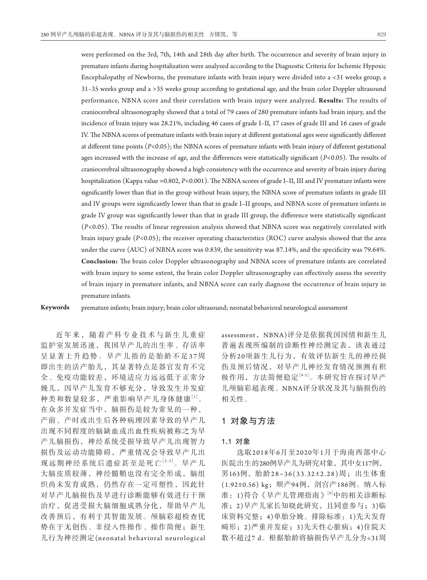were performed on the 3rd, 7th, 14th and 28th day after birth. The occurrence and severity of brain injury in premature infants during hospitalization were analyzed according to the Diagnostic Criteria for Ischemic Hypoxic Encephalopathy of Newborns, the premature infants with brain injury were divided into a <31 weeks group, a 31–35 weeks group and a >35 weeks group according to gestational age, and the brain color Doppler ultrasound performance, NBNA score and their correlation with brain injury were analyzed. **Results:** The results of craniocerebral ultrasonography showed that a total of 79 cases of 280 premature infants had brain injury, and the incidence of brain injury was 28.21%, including 46 cases of grade I–II, 17 cases of grade III and 16 cases of grade IV. The NBNA scores of premature infants with brain injury at different gestational ages were significantly different at different time points (*P<*0.05); the NBNA scores of premature infants with brain injury of different gestational ages increased with the increase of age, and the differences were statistically significant (*P<*0.05). The results of craniocerebral ultrasonography showed a high consistency with the occurrence and severity of brain injury during hospitalization (Kappa value =0.802, *P<*0.001). The NBNA scores of grade I–II, III and IV premature infants were significantly lower than that in the group without brain injury, the NBNA score of premature infants in grade III and IV groups were significantly lower than that in grade I–II groups, and NBNA score of premature infants in grade IV group was significantly lower than that in grade III group, the difference were statistically significant (*P<*0.05). The results of linear regression analysis showed that NBNA score was negatively correlated with brain injury grade (*P<*0.05); the receiver operating characteristics (ROC) curve analysis showed that the area under the curve (AUC) of NBNA score was 0.839, the sensitivity was 87.14%, and the specificity was 79.64%. **Conclusion:** The brain color Doppler ultrasonography and NBNA score of premature infants are correlated with brain injury to some extent, the brain color Doppler ultrasonography can effectively assess the severity of brain injury in premature infants, and NBNA score can early diagnose the occurrence of brain injury in premature infants.

**Keywords** premature infants; brain injury; brain color ultrasound; neonatal behavioral neurological assessment

近年来,随着产科专业技术与新生儿重症 监护室发展迅速,我国早产儿的出生率、存活率 呈显著上升趋势。早产儿指的是胎龄不足37周 即出生的活产胎儿,其显著特点是器官发育不完 全、免疫功能较差,环境适应力远远低于正常分 娩儿,因早产儿发育不够充分,导致发生并发症 种类和数量较多,严重影响早产儿身体健康[1]。 在众多并发症当中,脑损伤是较为常见的一种, 产前、产时或出生后各种病理因素导致的早产儿 出现不同程度的脑缺血或出血性疾病被称之为早 产儿脑损伤,神经系统受损导致早产儿出现智力 损伤及运动功能障碍,严重情况会导致早产儿出 现远期神经系统后遗症甚至是死亡[2-3]。早产儿 大脑皮质较薄,神经髓鞘也没有完全形成,脑组 织尚未发育成熟,仍然存在一定可塑性,因此针 对早产儿脑损伤及早进行诊断能够有效进行干预 治疗,促进受损大脑细胞成熟分化,帮助早产儿 改善预后,有利于其智能发展。颅脑彩超检查优 势在于无创伤、非侵入性操作、操作简便;新生 儿行为神经测定(neonatal behavioral neurological assessment, NBNA)评分是依据我国国情和新生儿 普遍表现所编制的诊断性神经测定表,该表通过 分析20项新生儿行为,有效评估新生儿的神经损 伤及预后情况,对早产儿神经发育情况预测有积 极作用,方法简便稳定[4-5]。本研究旨在探讨早产 儿颅脑彩超表现、NBNA评分状况及其与脑损伤的 相关性。

## 1对象与方法

#### 1**.**1对象

选取2018年6月至2020年1月于海南西部中心 医院出生的280例早产儿为研究对象,其中女117例, 男163例,胎龄28~36(33.32±2.28)周;出生体重 (1.92±0.56) kg;顺产94例,剖宫产186例。纳入标 准:1)符合《早产儿管理指南》[6]中的相关诊断标 准;2)早产儿家长知晓此研究,且同意参与;3)临 床资料完整;4)单胎分娩。排除标准:1)先天发育 畸形;2)严重并发症;3)先天性心脏病;4)住院天 数不超过7 d。根据胎龄将脑损伤早产儿分为<31周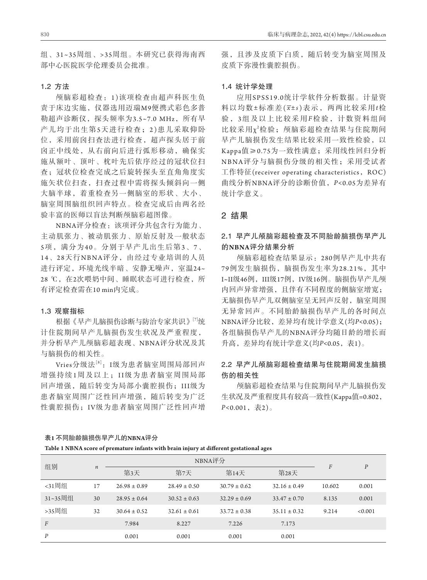组、31~35周组、>35周组。本研究已获得海南西 部中心医院医学伦理委员会批准。

#### 1**.**2方法

颅脑彩超检查:1 )该项检查由超声科医生负 责于床边实施,仪器选用迈瑞M9便携式彩色多普 勒超声诊断仪, 探头频率为3.5~7.0 MHz, 所有早 产儿均于出生第5天进行检查;2 )患儿采取仰卧 位,采用前囟扫查法进行检查,超声探头居于前 囟正中线处,从右前向后进行弧形移动,确保实 施从额叶、顶叶、枕叶先后依序经过的冠状位扫 查;冠状位检查完成之后旋转探头至直角角度实 施矢状位扫査,扫查过程中需将探头倾斜向一侧 大脑半球,着重检查另一侧脑室的形状、大小、 脑室周围脑组织回声特点。检查完成后由两名经 验丰富的医师以盲法判断颅脑彩超图像。

NBNA评分检查:该项评分共包含行为能力、 主动肌张力、被动肌张力、原始反射及一般状态 5项,满分为40。分别于早产儿出生后第3、7、 14、28天行NBNA评分, 由经过专业培训的人员 进行评定,环境光线半暗、安静无噪声,室温24~ 28 ℃, 在2次喂奶中间、睡眠状态可进行检查, 所 有评定检查需在10 min内完成。

#### 1**.**3观察指标

根据《早产儿脑损伤诊断与防治专家共识》[7]统 计住院期间早产儿脑损伤发生状况及严重程度, 并分析早产儿颅脑彩超表现、NBNA评分状况及其 与脑损伤的相关性。

 $V$ ries分级法 $[8]$ : I级为患者脑室周围局部回声 增强持续1周及以上;I I级为患者脑室周围局部 回声增强,随后转变为局部小囊腔损伤;III级为 患者脑室周围广泛性回声增强,随后转变为广泛 性囊腔损伤;I V级为患者脑室周围广泛性回声增 强,且涉及皮质下白质,随后转变为脑室周围及 皮质下弥漫性囊腔损伤。

#### 1**.**4统计学处理

应用SPSS19.0统计学软件分析数据。计量资 料以均数±标准差( *x*±*s* )表示,两两比较采用*t*检 验 ,3组及以上比较采用*F*检验,计数资料组间 比较采用χ2检验; 颅脑彩超检查结果与住院期间 早产儿脑损伤发生结果比较采用一致性检验,以 Kappa值≥0.75为一致性满意;采用线性回归分析 NBNA评分与脑损伤分级的相关性;采用受试者 工作特征(receiver operating characteristics, ROC) 曲线分析NBNA评分的诊断价值,*P<*0.05为差异有 统计学意义。

## 2结果

## 2**.**1早产儿颅脑彩超检查及不同胎龄脑损伤早产儿 的**NBNA**评分结果分析

颅脑彩超检查结果显示:280例早产儿中共有 79例发生脑损伤,脑损伤发生率为28.21%,其中 I~II级46例, III级17例, IV级16例。脑损伤早产儿颅 内回声异常增强,且伴有不同程度的侧脑室增宽; 无脑损伤早产儿双侧脑室呈无回声反射,脑室周围 无异常回声。不同胎龄脑损伤早产儿的各时间点 NBNA评分比较,差异均有统计学意义(均*P<*0.05); 各组脑损伤早产儿的NBNA评分均随日龄的增长而 升高,差异均有统计学意义(均*P<*0.05,表1)。

## 2**.**2早产儿颅脑彩超检查结果与住院期间发生脑损 伤的相关性

颅脑彩超检查结果与住院期间早产儿脑损伤发 生状况及严重程度具有较高一致性(Kappa值=0.802, *P<*0.001,表2)。

## 表**1** 不同胎龄脑损伤早产儿的**NBNA**评分

**Table 1 NBNA score of premature infants with brain injury at different gestational ages**

| 组别             | $\boldsymbol{n}$ | NBNA评分           |                  |                  |                  | F      | $\boldsymbol{P}$ |
|----------------|------------------|------------------|------------------|------------------|------------------|--------|------------------|
|                |                  | 第3天              | 第7天              | 第14天             | 第28天             |        |                  |
| <31周组          | 17               | $26.98 \pm 0.89$ | $28.49 \pm 0.50$ | $30.79 \pm 0.62$ | $32.16 \pm 0.49$ | 10.602 | 0.001            |
| 31~35周组        | 30               | $28.95 \pm 0.64$ | $30.52 \pm 0.63$ | $32.29 \pm 0.69$ | $33.47 \pm 0.70$ | 8.135  | 0.001            |
| >35周组          | 32               | $30.64 \pm 0.52$ | $32.61 \pm 0.61$ | $33.72 \pm 0.38$ | $35.11 \pm 0.32$ | 9.214  | < 0.001          |
| $\overline{F}$ |                  | 7.984            | 8.227            | 7.226            | 7.173            |        |                  |
| P              |                  | 0.001            | 0.001            | 0.001            | 0.001            |        |                  |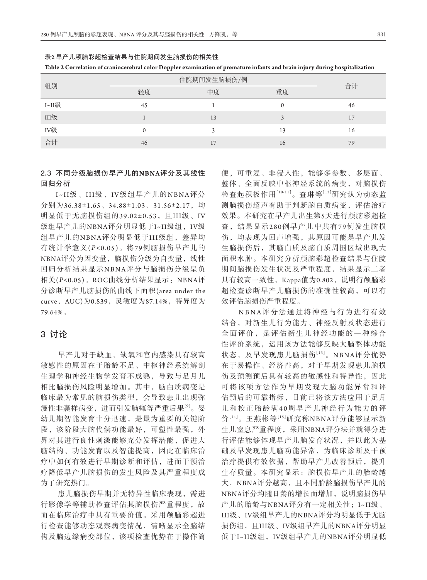| 组别    | 住院期间发生脑损伤/例 | 合计             |    |    |  |  |  |
|-------|-------------|----------------|----|----|--|--|--|
|       | 轻度          | 中度             | 重度 |    |  |  |  |
| I~II级 | 45          |                |    | 46 |  |  |  |
| III级  |             | 13             |    | 17 |  |  |  |
| IV级   | $\Omega$    |                | 13 | 16 |  |  |  |
| 合计    | 46          | $\overline{ }$ | 16 | 79 |  |  |  |

表**2** 早产儿颅脑彩超检查结果与住院期间发生脑损伤的相关性



## 2**.**3不同分级脑损伤早产儿的**NBNA**评分及其线性 回归分析

I~II级、III级、I V级组早产儿的NBNA评分 分别为36.38±1.65、34.88±1.03、31.56±2.17,均 明显低于无脑损伤组的39.02±0.53, 且III级、IV 级组早产儿的NBNA评分明显低于I~II级组, IV级 组早产儿的NBNA评分明显低于III级组,差异均 有统计学意义(P<0.05)。将79例脑损伤早产儿的 NBNA评分为因变量,脑损伤分级为自变量,线性 回归分析结果显示NBNA评分与脑损伤分级呈负 相关(*P<*0.05)。ROC曲线分析结果显示:NBNA评 分诊断早产儿脑损伤的曲线下面积(area under the curve, AUC)为0.839, 灵敏度为87.14%, 特异度为 79.64%。

#### 3讨论

早产儿对于缺血、缺氧和宫内感染具有较高 敏感性的原因在于胎龄不足、中枢神经系统解剖 生理学和神经生物学发育不成熟,导致与足月儿 相比脑损伤风险明显增加。其中,脑白质病变是 临床最为常见的脑损伤类型,会导致患儿出现弥 漫性非囊样病变,进而引发脑瘫等严重后果<sup>[9]</sup>。婴 幼儿期智能发育十分迅速,是最为重要的关键阶 段,该阶段大脑代偿功能最好,可塑性最强,外 界对其进行良性刺激能够充分发挥潜能,促进大 脑结构、功能发育以及智能提高,因此在临床治 疗中如何有效进行早期诊断和评估,进而干预治 疗降低早产儿脑损伤的发生风险及其严重程度成 为了研究热门。

患儿脑损伤早期并无特异性临床表现,需进 行影像学等辅助检查评估其脑损伤严重程度,故 而在临床治疗中具有重要价值。采用颅脑彩超进 行检查能够动态观察病变情况,清晰显示全脑结 构及脑边缘病变部位,该项检查优势在于操作简

便,可重复、非侵入性,能够多参数、多层面、 整体、全面反映中枢神经系统的病变,对脑损伤 检查起积极作用[10-11]。查琳等[12]研究认为动态监 测脑损伤超声有助于判断脑白质病变,评估治疗 效果。本研究在早产儿出生第5天进行颅脑彩超检 查,结果显示280例早产儿中共有79例发生脑损 伤,均表现为回声增强,其原因可能是早产儿发 生脑损伤后,其脑白质及脑白质周围区域出现大 面积水肿。本研究分析颅脑彩超检查结果与住院 期间脑损伤发生状况及严重程度,结果显示二者 具有较高一致性,Kappa值为0.802,说明行颅脑彩 超检査诊断早产儿脑损伤的准确性较高,可以有 效评估脑损伤严重程度。

NBNA评分法通过将神经与行为进行有效 结合,对新生儿行为能力、神经反射及状态进行 全面评价,是评估新生儿神经功能的一种综合 性评价系统,运用该方法能够反映大脑整体功能 状态,及早发现患儿脑损伤[13]。NBNA评分优势 在于易操作、经济性高,对于早期发现患儿脑损 伤及预测预后具有较高的敏感性和特异性,因此 可将该项方法作为早期发现大脑功能异常和评 估预后的可靠指标,目前已将该方法应用于足月 儿和校正胎龄满40周早产儿神经行为能力的评 价[14]。王燕彬等[15]研究称NBNA评分能够显示新 生儿窒息严重程度,采用NBNA评分法并就得分进 行评估能够体现早产儿脑发育状况,并以此为基 础及早发现患儿脑功能异常,为临床诊断及干预 治疗提供有效依据,帮助早产儿改善预后,提升 生存质量。本研究显示:脑损伤早产儿的胎龄越 大,NBNA评分越高,且不同胎龄脑损伤早产儿的 NBNA评分均随日龄的增长而增加,说明脑损伤早 产儿的胎龄与NBNA评分有一定相关性;I~II级、 III级、IV级组早产儿的NBNA评分均明显低于无脑 损伤组,且III级、IV级组早产儿的NBNA评分明显 低于I~II级组,IV级组早产儿的NBNA评分明显低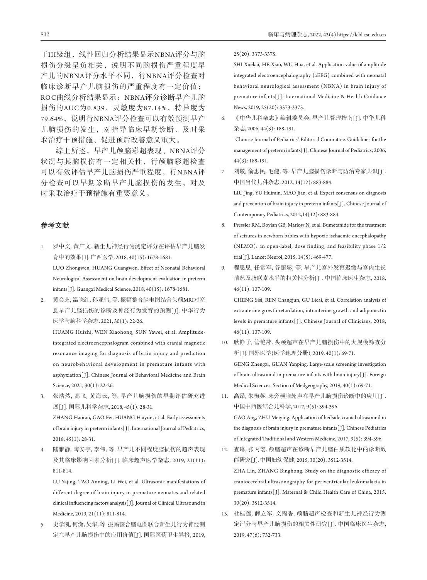于III级组,线性回归分析结果显示NBNA评分与脑 损伤分级呈负相关,说明不同脑损伤严重程度早 产儿的NBNA评分水平不同,行NBNA评分检查对 临床诊断早产儿脑损伤的严重程度有一定价值; ROC曲线分析结果显示: NBNA评分诊断早产儿脑 损伤的AUC为0.839, 灵敏度为87.14%, 特异度为 79.64%, 说明行NBNA评分检查可以有效预测早产 儿脑损伤的发生,对指导临床早期诊断、及时采 取治疗干预措施、促进预后改善意义重大。

综上所述,早产儿颅脑彩超表现、NBNA评分 状况与其脑损伤有一定相关性,行颅脑彩超检查 可以有效评估早产儿脑损伤严重程度,行NBNA评 分检查可以早期诊断早产儿脑损伤的发生,对及 时采取治疗干预措施有重要意义。

#### 参考文献

- 1. 罗中文, 黄广文. 新生儿神经行为测定评分在评估早产儿脑发 育中的效果[ J]. 广西医学, 2018, 40(15): 1678-1681. LUO Zhongwen, HUANG Guangwen. Effect of Neonatal Behavioral Neurological Assessment on brain development evaluation in preterm infants[ J]. Guangxi Medical Science, 2018, 40(15): 1678-1681.
- 2. 黄会芝, 温晓红, 孙亚伟, 等. 振幅整合脑电图结合头颅MRI对窒 息早产儿脑损伤的诊断及神经行为发育的预测[J]. 中华行为 医学与脑科学杂志, 2021, 30(1): 22-26.

 HUANG Huizhi, WEN Xiaohong, SUN Yawei, et al. Amplitudeintegrated electroencephalogram combined with cranial magnetic resonance imaging for diagnosis of brain injury and prediction on neurobehavioral development in premature infants with asphyxiation[ J]. Chinese Journal of Behavioral Medicine and Brain Science, 2021, 30(1): 22-26.

- 3. 张浩然, 髙飞, 黄海云, 等. 早产儿脑损伤的早期评估研究进 展[ J]. 国际儿科学杂志, 2018, 45(1): 28-31. ZHANG Haoran, GAO Fei, HUANG Haiyun, et al. Early assessments of brain injury in preterm infants[ J]. International Journal of Pediatrics, 2018, 45(1): 28-31.
- 4. 陆雅静, 陶安宇, 李伟, 等. 早产儿不同程度脑损伤的超声表现 及其临床影响因素分析[ J]. 临床超声医学杂志, 2019, 21(11): 811-814.

 LU Yajing, TAO Anning, LI Wei, et al. Ultrasonic manifestations of different degree of brain injury in premature neonates and related clinical influencing factors analysis[ J]. Journal of Clinical Ultrasound in Medicine, 2019, 21(11): 811-814.

5. 史学凯, 何潇, 吴华, 等. 振幅整合脑电图联合新生儿行为神经测 定在早产儿脑损伤中的应用价值[ J]. 国际医药卫生导报, 2019, 25(20): 3373-3375.

 SHI Xuekai, HE Xiao, WU Hua, et al. Application value of amplitude integrated electroencephalography (aEEG) combined with neonatal behavioral neurological assessment (NBNA) in brain injury of premature infants[ J]. International Medicine & Health Guidance News, 2019, 25(20): 3373-3375.

6. 《中华儿科杂志》编辑委员会. 早产儿管理指南[ J]. 中华儿科 杂志, 2006, 44(3): 188-191.

 "Chinese Journal of Pediatrics" Editorial Committee. Guidelines for the management of preterm infants[J]. Chinese Journal of Pediatrics, 2006, 44(3): 188-191.

- 7. 刘敬, 俞惠民, 毛健, 等. 早产儿脑损伤诊断与防治专家共识[ J]. 中国当代儿科杂志, 2012, 14(12): 883-884. LIU Jing, YU Huimin, MAO Jian, et al. Expert consensus on diagnosis and prevention of brain injury in preterm infants[J]. Chinese Journal of Contemporary Pediatrics, 2012,14(12): 883-884.
- 8. Pressler RM, Boylan GB, Marlow N, et al. Bumetanide for the treatment of seizures in newborn babies with hypoxic ischaemic encephalopathy (NEMO): an open-label, dose finding, and feasibility phase 1/2 trial[ J]. Lancet Neurol, 2015, 14(5): 469-477.
- 9. 程思思, 任常军, 谷丽彩, 等. 早产儿宫外发育迟缓与宫内生长 情况及脂联素水平的相关性分析[ J]. 中国临床医生杂志, 2018, 46(11): 107-109.

 CHENG Sisi, REN Changjun, GU Licai, et al. Correlation analysis of extrauterine growth retardation, intrauterine growth and adiponectin levels in premature infants[ J]. Chinese Journal of Clinicians, 2018, 46(11): 107-109.

- 10. 耿铮子, 管艳萍. 头颅超声在早产儿脑损伤中的大规模筛查分 析[ J]. 国外医学(医学地理分册), 2019, 40(1): 69-71. GENG Zhengzi, GUAN Yanping. Large-scale screening investigation of brain ultrasound in premature infants with brain injury[ J]. Foreign Medical Sciences. Section of Medgeography, 2019, 40(1): 69-71.
- 11. 高昂, 朱梅英. 床旁颅脑超声在早产儿脑损伤诊断中的应用[J]. 中国中西医结合儿科学, 2017, 9(5): 394-396. GAO Ang, ZHU Meiying. Application of bedside cranial ultrasound in the diagnosis of brain injury in premature infants[J]. Chinese Pediatrics of Integrated Traditional and Western Medicine, 2017, 9(5): 394-396.
- 12. 査琳, 张丙宏. 颅脑超声在诊断早产儿脑白质软化中的诊断效 能研究[ J]. 中国妇幼保健, 2015, 30(20): 3512-3514. ZHA Lin, ZHANG Binghong. Study on the diagnostic efficacy of craniocerebral ultrasonography for periventricular leukomalacia in premature infants[ J]. Maternal & Child Health Care of China, 2015, 30(20): 3512-3514.
- 13. 杜桂莲, 薛立军, 文锦香. 颅脑超声检查和新生儿神经行为测 定评分与早产儿脑损伤的相关性研究[ J]. 中国临床医生杂志, 2019, 47(6): 732-733.